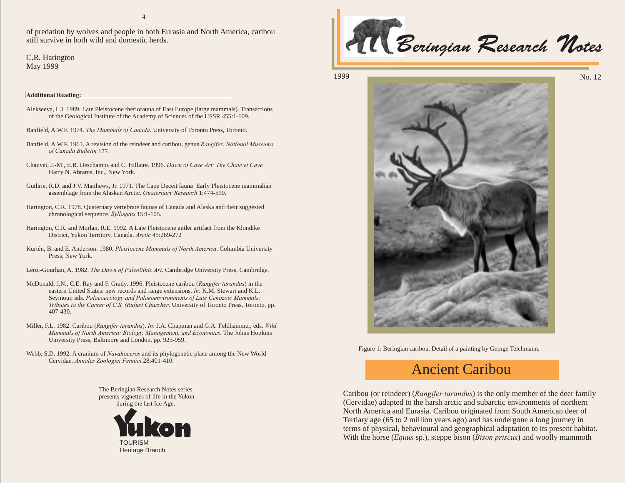of predation by wolves and people in both Eurasia and North America, caribou still survive in both wild and domestic herds.

C.R. Harington May 1999

## **Additional Reading:**

- Alekseeva, L.I. 1989. Late Pleistocene theriofauna of East Europe (large mammals). Transactions of the Geological Institute of the Academy of Sciences of the USSR 455:1-109.
- Banfield, A.W.F. 1974. *The Mammals of Canada*. University of Toronto Press, Toronto.
- Banfield, A.W.F. 1961. A revision of the reindeer and caribou, genus *Rangifer. National Museums* 177. *of Canada Bulletin*
- Chauvet, J.-M., E.B. Deschamps and C. Hillaire. 1996. *Dawn of Cave Art: The Chauvet Cave.* Harry N. Abrams, Inc., New York.
- Guthrie, R.D. and J.V. Matthews, Jr. 1971. The Cape Deceit fauna Early Pleistocene mammalian assemblage from the Alaskan Arctic. *Quaternary Research* 1:474-510.
- Harington, C.R. 1978. Quaternary vertebrate faunas of Canada and Alaska and their suggested chronological sequence. Syllogeus 15:1-105.
- Harington, C.R. and Morlan, R.E. 1992. A Late Pleistocene antler artifact from the Klondike District, Yukon Territory, Canada. *Arctic* 45:269-272
- *K*urtén, B. and E. Anderson. 1980. Pleistocene Mammals of North America. Columbia University Press, New York.
- Leroi-Gourhan, A. 1982. The Dawn of Paleolithic Art. Cambridge University Press, Cambridge.
- McDonald, J.N., C.E. Ray and F. Grady. 1996. Pleistocene caribou (*Rangifer tarandus*) in the eastern United States: new records and range extensions. *In*: K.M. Stewart and K.L. Seymour, eds. *Palaeoecology and Palaeoenvironments of Late Cenozoic Mammals: Tributes to the Career of C.S. (Rufus) Churcher. University of Toronto Press, Toronto. pp.* 407-430.
- Miller, F.L. 1982. Caribou (*Rangifer tarandus*). *In*: J.A. Chapman and G.A. Feldhammer, eds. *Wild* . The Johns Hopkins *Mammals of North America: Biology, Management, and Economics* University Press, Baltimore and London. pp. 923-959.
- Webb, S.D. 1992. A cranium of *Navahoceros* and its phylogenetic place among the New World Cervidae. 28:401-410. *Annales Zoologici Fennici*

The Beringian Research Notes series presents vignettes of life in the Yukon during the last Ice Age.



 $R$ l (Beringian Research Notes

1999

Figure 1: Beringian caribou. Detail of <sup>a</sup> painting by George Teichmann.

## Ancient Caribou

*Caribou (or reindeer) (Rangifer tarandus)* is the only member of the deer family (Cervidae) adapted to the harsh arctic and subarctic environments of northern North America and Eurasia. Caribou originated from South American deer of Tertiary age (65 to 2 million years ago) and has undergone <sup>a</sup> long journey in terms of physical, behavioural and geographical adaptation to its presen<sup>t</sup> habitat. With the horse (*Equus* sp.), steppe bison (*Bison priscus*) and woolly mammoth

No. 12